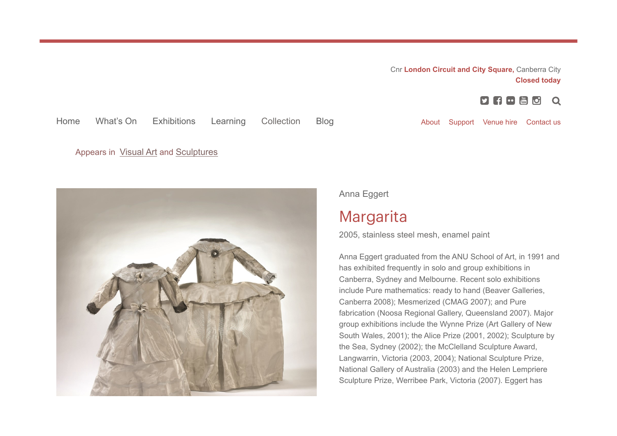Cnr London Circuit and City Square, Canberra City Closed today

> $\begin{bmatrix} 1 & 0 \\ 0 & 1 \end{bmatrix}$  $\Omega$

## Home What's On Exhibitions Learning Collection Blog **About Support Venue hire** Contact us

Appears in Visual Art and Sculptures



Anna Eggert

## Margarita

2005, stainless steel mesh, enamel paint

Anna Eggert graduated from the ANU School of Art, in 1991 and has exhibited frequently in solo and group exhibitions in Canberra, Sydney and Melbourne. Recent solo exhibitions include Pure mathematics: ready to hand (Beaver Galleries, Canberra 2008); Mesmerized (CMAG 2007); and Pure fabrication (Noosa Regional Gallery, Queensland 2007). Major group exhibitions include the Wynne Prize (Art Gallery of New South Wales, 2001); the Alice Prize (2001, 2002); Sculpture by the Sea, Sydney (2002); the McClelland Sculpture Award, Langwarrin, Victoria (2003, 2004); National Sculpture Prize, National Gallery of Australia (2003) and the Helen Lempriere Sculpture Prize, Werribee Park, Victoria (2007). Eggert has